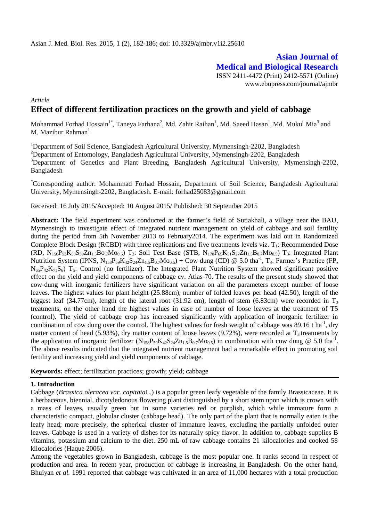# **Asian Journal of Medical and Biological Research** ISSN 2411-4472 (Print) 2412-5571 (Online)

www.ebupress.com/journal/ajmbr

*Article*

# **Effect of different fertilization practices on the growth and yield of cabbage**

Mohammad Forhad Hossain<sup>1\*</sup>, Taneya Farhana<sup>2</sup>, Md. Zahir Raihan<sup>1</sup>, Md. Saeed Hasan<sup>1</sup>, Md. Mukul Mia<sup>3</sup> and M. Mazibur Rahman $<sup>1</sup>$ </sup>

<sup>1</sup>Department of Soil Science, Bangladesh Agricultural University, Mymensingh-2202, Bangladesh

<sup>2</sup>Department of Entomology, Bangladesh Agricultural University, Mymensingh-2202, Bangladesh

<sup>3</sup>Department of Genetics and Plant Breeding, Bangladesh Agricultural University, Mymensingh-2202, Bangladesh

\*Corresponding author: Mohammad Forhad Hossain, Department of Soil Science, Bangladesh Agricultural University, Mymensingh-2202, Bangladesh. E-mail: forhad25083@gmail.com

Received: 16 July 2015/Accepted: 10 August 2015/ Published: 30 September 2015

**Abstract:** The field experiment was conducted at the farmer's field of Sutiakhali, a village near the BAU, Mymensingh to investigate effect of integrated nutrient management on yield of cabbage and soil fertility during the period from 5th November 2013 to February2014. The experiment was laid out in Randomized Complete Block Design (RCBD) with three replications and five treatments levels viz.  $T_1$ : Recommended Dose  $(RD, N_{150}P_{53}K_{50}S_{30}Zn_{1.5}Bo_7Mo_{0.5})$  T<sub>2</sub>: Soil Test Base (STB,  $N_{178}P_{65}K_{51}S_{27}Zn_{1.5}Bo_7Mo_{0.5})$  T<sub>3</sub>: Integrated Plant Nutrition System (IPNS,  $N_{158}P_{59}K_{42}S_{24}Zn_{1.5}B_{0.7}Mo_{0.5})$  + Cow dung (CD) @ 5.0 tha<sup>-1</sup>, T<sub>4</sub>: Farmer's Practice (FP,  $N_{65}P_{42}K_{71}S_{6}$ )  $T_{5}$ : Control (no fertilizer). The Integrated Plant Nutrition System showed significant positive effect on the yield and yield components of cabbage cv. Atlas-70. The results of the present study showed that cow-dung with inorganic fertilizers have significant variation on all the parameters except number of loose leaves. The highest values for plant height (25.88cm), number of folded leaves per head (42.50), length of the biggest leaf (34.77cm), length of the lateral root (31.92 cm), length of stem (6.83cm) were recorded in  $T_3$ treatments, on the other hand the highest values in case of number of loose leaves at the treatment of T5 (control). The yield of cabbage crop has increased significantly with application of inorganic fertilizer in combination of cow dung over the control. The highest values for fresh weight of cabbage was 89.16 t ha<sup>-1</sup>, dry matter content of head (5.93%), dry matter content of loose leaves (9.72%), were recorded at  $T_3$  treatments by the application of inorganic fertilizer  $(N_{158}P_{59}K_{42}S_{24}Zn_{1.5}B_{0.7}Mo_{0.5})$  in combination with cow dung @ 5.0 tha<sup>-1</sup>. The above results indicated that the integrated nutrient management had a remarkable effect in promoting soil fertility and increasing yield and yield components of cabbage.

**Keywords:** effect; fertilization practices; growth; yield; cabbage

## **1. Introduction**

Cabbage (*Brassica oleracea var. capitata*L.) is a popular green leafy vegetable of the family Brassicaceae. It is a herbaceous, biennial, dicotyledonous flowering plant distinguished by a short stem upon which is crown with a mass of leaves, usually green but in some varieties red or purplish, which while immature form a characteristic compact, globular cluster (cabbage head). The only part of the plant that is normally eaten is the leafy head; more precisely, the spherical cluster of immature leaves, excluding the partially unfolded outer leaves. Cabbage is used in a variety of dishes for its naturally spicy flavor. In addition to, cabbage supplies B vitamins, potassium and calcium to the diet. 250 mL of raw cabbage contains 21 kilocalories and cooked 58 kilocalories (Haque 2006).

Among the vegetables grown in Bangladesh, cabbage is the most popular one. It ranks second in respect of production and area. In recent year, production of cabbage is increasing in Bangladesh. On the other hand, Bhuiyan *et al.* 1991 reported that cabbage was cultivated in an area of 11,000 hectares with a total production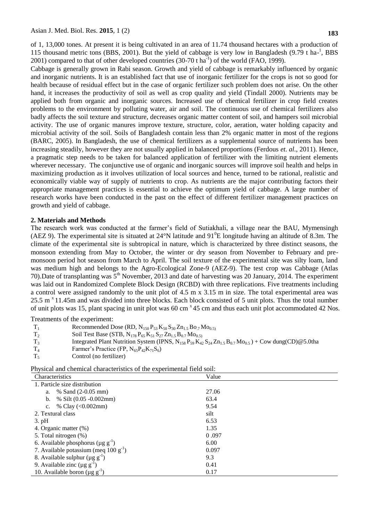of 1, 13,000 tones. At present it is being cultivated in an area of 11.74 thousand hectares with a production of 115 thousand metric tons (BBS, 2001). But the yield of cabbage is very low in Bangladesh (9.79 t ha-1, BBS 2001) compared to that of other developed countries  $(30\n-70 \text{ t ha}^{-1})$  of the world (FAO, 1999).

Cabbage is generally grown in Rabi season. Growth and yield of cabbage is remarkably influenced by organic and inorganic nutrients. It is an established fact that use of inorganic fertilizer for the crops is not so good for health because of residual effect but in the case of organic fertilizer such problem does not arise. On the other hand, it increases the productivity of soil as well as crop quality and yield (Tindall 2000). Nutrients may be applied both from organic and inorganic sources. Increased use of chemical fertilizer in crop field creates problems to the environment by polluting water, air and soil. The continuous use of chemical fertilizers also badly affects the soil texture and structure, decreases organic matter content of soil, and hampers soil microbial activity. The use of organic manures improve texture, structure, color, aeration, water holding capacity and microbial activity of the soil. Soils of Bangladesh contain less than 2% organic matter in most of the regions (BARC, 2005). In Bangladesh, the use of chemical fertilizers as a supplemental source of nutrients has been increasing steadily, however they are not usually applied in balanced proportions (Ferdous *et. al.*, 2011). Hence, a pragmatic step needs to be taken for balanced application of fertilizer with the limiting nutrient elements wherever necessary. The conjunctive use of organic and inorganic sources will improve soil health and helps in maximizing production as it involves utilization of local sources and hence, turned to be rational, realistic and economically viable way of supply of nutrients to crop. As nutrients are the major contributing factors their appropriate management practices is essential to achieve the optimum yield of cabbage. A large number of research works have been conducted in the past on the effect of different fertilizer management practices on growth and yield of cabbage.

## **2. Materials and Methods**

The research work was conducted at the farmer's field of Sutiakhali, a village near the BAU, Mymensingh (AEZ 9). The experimental site is situated at  $24^{\circ}$ N latitude and  $91^{\circ}$ E longitude having an altitude of 8.3m. The climate of the experimental site is subtropical in nature, which is characterized by three distinct seasons, the monsoon extending from May to October, the winter or dry season from November to February and premonsoon period hot season from March to April. The soil texture of the experimental site was silty loam, land was medium high and belongs to the Agro-Ecological Zone-9 (AEZ-9). The test crop was Cabbage (Atlas 70).Date of transplanting was 5th November, 2013 and date of harvesting was 20 January, 2014. The experiment was laid out in Randomized Complete Block Design (RCBD) with three replications. Five treatments including a control were assigned randomly to the unit plot of 4.5 m x 3.15 m in size. The total experimental area was 25.5 m<sup>x</sup> 11.45m and was divided into three blocks. Each block consisted of 5 unit plots. Thus the total number of unit plots was 15, plant spacing in unit plot was 60 cm<sup>x</sup> 45 cm and thus each unit plot accommodated 42 Nos.

Treatments of the experiment:

| $T_1$      | Recommended Dose (RD, $N_{150}P_{53}K_{50}S_{30}Zn_{1.5}Bo_{7}Mo_{0.50}$                                            |
|------------|---------------------------------------------------------------------------------------------------------------------|
| $T_{2}$    | Soil Test Base (STB, $N_{178}P_{65}K_{51}S_{27}Zn_{1.5}B_{0.7}Mo_{0.51}$                                            |
| $T_3$      | Integrated Plant Nutrition System (IPNS, $N_{158}P_{59}K_{42}S_{24}Zn_{1.5}B_{0.7}Mo_{0.5}$ ) + Cow dung(CD)@5.0tha |
| $T_{4}$    | Farmer's Practice (FP, $N_{65}P_{42}K_{71}S_6$ )                                                                    |
| $T_{\leq}$ | Control (no fertilizer)                                                                                             |
|            |                                                                                                                     |

Physical and chemical characteristics of the experimental field soil:

| Characteristics                                     | Value |  |  |  |  |
|-----------------------------------------------------|-------|--|--|--|--|
| 1. Particle size distribution                       |       |  |  |  |  |
| a. $%$ Sand $(2-0.05$ mm)                           | 27.06 |  |  |  |  |
| % Silt $(0.05 - 0.002$ mm)<br>b.                    | 63.4  |  |  |  |  |
| c. % Clay $(0.002 \text{mm})$                       | 9.54  |  |  |  |  |
| 2. Textural class                                   | silt  |  |  |  |  |
| $3.$ pH                                             | 6.53  |  |  |  |  |
| 4. Organic matter (%)                               | 1.35  |  |  |  |  |
| 5. Total nitrogen (%)                               | 0.097 |  |  |  |  |
| 6. Available phosphorus ( $\mu$ g g <sup>-1</sup> ) | 6.00  |  |  |  |  |
| 7. Available potassium (meq 100 $g^{-1}$ )          | 0.097 |  |  |  |  |
| 8. Available sulphur ( $\mu$ g g <sup>-1</sup> )    | 9.3   |  |  |  |  |
| 9. Available zinc $(\mu g g^{-1})$                  | 0.41  |  |  |  |  |
| 10. Available boron ( $\mu$ g g <sup>-1</sup> )     | 0.17  |  |  |  |  |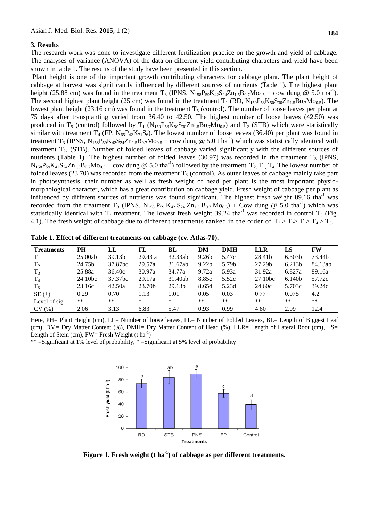#### **3. Results**

The research work was done to investigate different fertilization practice on the growth and yield of cabbage. The analyses of variance (ANOVA) of the data on different yield contributing characters and yield have been shown in table 1. The results of the study have been presented in this section.

Plant height is one of the important growth contributing characters for cabbage plant. The plant height of cabbage at harvest was significantly influenced by different sources of nutrients (Table 1). The highest plant height (25.88 cm) was found in the treatment T<sub>3</sub> (IPNS,  $N_{158}P_{59}K_{42}S_{24}Zn_{1.5}B_{0.7}Mo_{0.5}$  + cow dung @ 5.0 tha<sup>-1</sup>). The second highest plant height (25 cm) was found in the treatment  $T_1$  (RD,  $N_{150}P_{53}K_{50}S_{30}Zn_{1.5}Bo_7Mo_{0.5}$ ). The lowest plant height (23.16 cm) was found in the treatment  $T_5$  (control). The number of loose leaves per plant at 75 days after transplanting varied from 36.40 to 42.50. The highest number of loose leaves (42.50) was produced in T<sub>5</sub> (control) followed by T<sub>1</sub> (N<sub>150</sub>P<sub>53</sub>K<sub>50</sub>S<sub>30</sub>Zn<sub>1.5</sub>Bo<sub>.7</sub>Mo<sub>0.5</sub>) and T<sub>2</sub> (STB) which were statistically similar with treatment  $T_4$  (FP,  $N_{65}P_{42}K_{71}S_6$ ). The lowest number of loose leaves (36.40) per plant was found in treatment T<sub>3</sub> (IPNS,  $N_{158}P_{59}K_{42}S_{24}Zn_{1.5}B_{0.7}Mo_{0.5} + \text{cow dung}$  @ 5.0 t ha<sup>-1</sup>) which was statistically identical with treatment  $T_2$ , (STB). Number of folded leaves of cabbage varied significantly with the different sources of nutrients (Table 1). The highest number of folded leaves (30.97) was recorded in the treatment  $T_3$  (IPNS,  $N_{158}P_{59}K_{42}S_{24}Zn_{1.5}B_{0.7}Mo_{0.5} + cow$  dung @ 5.0 tha<sup>-1</sup>) followed by the treatment,  $T_{2}$ ,  $T_{1}$ ,  $T_{4}$ . The lowest number of folded leaves (23.70) was recorded from the treatment  $T_5$  (control). As outer leaves of cabbage mainly take part in photosynthesis, their number as well as fresh weight of head per plant is the most important physiomorphological character, which has a great contribution on cabbage yield. Fresh weight of cabbage per plant as influenced by different sources of nutrients was found significant. The highest fresh weight 89.16 tha $^{-1}$  was recorded from the treatment T<sub>3</sub> (IPNS, N<sub>158</sub> P<sub>59</sub> K<sub>42</sub> S<sub>24</sub> Zn<sub>1.5</sub> B<sub>0.7</sub> M<sub>O<sub>0.5</sub>) + Cow dung @ 5.0 tha<sup>-1</sup>) which was</sub> statistically identical with  $T_2$  treatment. The lowest fresh weight 39.24 tha<sup>-1</sup> was recorded in control  $T_5$  (Fig. 4.1). The fresh weight of cabbage due to different treatments ranked in the order of  $T_3 > T_2 > T_1 > T_4 > T_5$ .

| THEN IT EXTRACT OF WILLOW CHARGED TO A CHARGE (CTT LEGAN TOR |         |                    |        |                    |                   |            |                     |        |         |  |  |
|--------------------------------------------------------------|---------|--------------------|--------|--------------------|-------------------|------------|---------------------|--------|---------|--|--|
| <b>Treatments</b>                                            | PН      | LL                 | FL     | BL                 | DM                | <b>DMH</b> | <b>LLR</b>          | LS     | FW      |  |  |
| $T_1$                                                        | 25.00ab | 39.13 <sub>b</sub> | 29.43a | 32.33ab            | 9.26 <sub>b</sub> | 5.47c      | 28.41b              | 6.303b | 73.44b  |  |  |
| T <sub>2</sub>                                               | 24.75b  | 37.87bc            | 29.57a | 31.67ab            | 9.22 <sub>b</sub> | 5.79b      | 27.29b              | 6.213b | 84.13ab |  |  |
| $T_3$                                                        | 25.88a  | 36.40c             | 30.97a | 34.77a             | 9.72a             | 5.93a      | 31.92a              | 6.827a | 89.16a  |  |  |
| $T_4$                                                        | 24.10bc | 37.37bc            | 29.17a | 31.40ab            | 8.85c             | 5.52c      | 27.10 <sub>bc</sub> | 6.140b | 57.72c  |  |  |
| $T_5$                                                        | 23.16c  | 42.50a             | 23.70b | 29.13 <sub>b</sub> | 8.65d             | 5.23d      | 24.60c              | 5.703c | 39.24d  |  |  |
| $SE(\pm)$                                                    | 0.29    | 0.70               | 1.13   | 1.01               | 0.05              | 0.03       | 0.77                | 0.075  | 4.2     |  |  |
| Level of sig.                                                | **      | $***$              | *      | $*$                | $***$             | **         | $***$               | $***$  | $***$   |  |  |
| CV(%)                                                        | 2.06    | 3.13               | 6.83   | 5.47               | 0.93              | 0.99       | 4.80                | 2.09   | 12.4    |  |  |

**Table 1. Effect of different treatments on cabbage (cv. Atlas-70).**

Here, PH= Plant Height (cm), LL= Number of loose leaves, FL= Number of Folded Leaves, BL= Length of Biggest Leaf (cm), DM= Dry Matter Content (%), DMH= Dry Matter Content of Head (%), LLR= Length of Lateral Root (cm), LS= Length of Stem (cm),  $FW =$  Fresh Weight (t ha<sup>-1</sup>)

\*\* =Significant at 1% level of probability, \* =Significant at 5% level of probability



**Figure 1. Fresh weight (t ha-1 ) of cabbage as per different treatments.**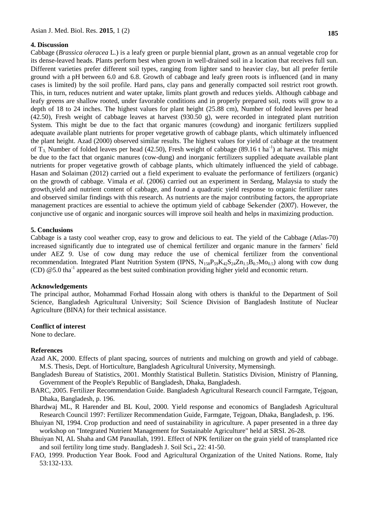#### **4. Discussion**

Cabbage (*Brassica oleracea* L*.*) is a leafy green or purple [biennial](http://en.wikipedia.org/wiki/Biennial_plant) plant, grown as an annual vegetable crop for its dense-leaved heads. Plants perform best when grown in well-drained soil in a location that receives full sun. Different varieties prefer different soil types, ranging from lighter sand to heavier clay, but all prefer fertile ground with a [pH](http://en.wikipedia.org/wiki/Soil_pH) between 6.0 and 6.8. Growth of cabbage and leafy green roots is influenced (and in many cases is limited) by the soil profile. Hard pans, clay pans and generally compacted soil restrict root growth. This, in turn, reduces nutrient and water uptake, limits plant growth and reduces yields. Although cabbage and leafy greens are shallow rooted, under favorable conditions and in properly prepared soil, roots will grow to a depth of 18 to 24 inches. The highest values for plant height (25.88 cm), Number of folded leaves per head (42.50), Fresh weight of cabbage leaves at harvest (930.50 g), were recorded in integrated plant nutrition System. This might be due to the fact that organic manures (cowdung) and inorganic fertilizers supplied adequate available plant nutrients for proper vegetative growth of cabbage plants, which ultimately influenced the plant height. Azad (2000) observed similar results. The highest values for yield of cabbage at the treatment of  $T_3$ , Number of folded leaves per head (42.50), Fresh weight of cabbage (89.16 t ha<sup>-1</sup>) at harvest. This might be due to the fact that organic manures (cow-dung) and inorganic fertilizers supplied adequate available plant nutrients for proper vegetative growth of cabbage plants, which ultimately influenced the yield of cabbage. Hasan and Solaiman (2012) carried out a field experiment to evaluate the performance of fertilizers (organic) on the growth of cabbage. Vimala *et al*. (2006) carried out an experiment in Serdang, Malaysia to study the growth,yield and nutrient content of cabbage, and found a quadratic yield response to organic fertilizer rates and observed similar findings with this research. As nutrients are the major contributing factors, the appropriate management practices are essential to achieve the optimum yield of cabbage Sekender (2007). However, the conjunctive use of organic and inorganic sources will improve soil health and helps in maximizing production.

# **5. Conclusions**

Cabbage is a tasty cool weather crop, easy to grow and delicious to eat. The yield of the Cabbage (Atlas-70) increased significantly due to integrated use of chemical fertilizer and organic manure in the farmers' field under AEZ 9. Use of cow dung may reduce the use of chemical fertilizer from the conventional recommendation. Integrated Plant Nutrition System (IPNS,  $N_{158}P_{59}K_{42}S_{24}Zn_{15}B_{07}Mo_{05}$ ) along with cow dung (CD)  $@5.0$  tha<sup>-1</sup> appeared as the best suited combination providing higher yield and economic return.

#### **Acknowledgements**

The principal author, Mohammad Forhad Hossain along with others is thankful to the Department of Soil Science, Bangladesh Agricultural University; Soil Science Division of Bangladesh Institute of Nuclear Agriculture (BINA) for their technical assistance.

#### **Conflict of interest**

None to declare.

#### **References**

- Azad AK, 2000. Effects of plant spacing, sources of nutrients and mulching on growth and yield of cabbage. M.S. Thesis, Dept. of Horticulture, Bangladesh Agricultural University, Mymensingh.
- Bangladesh Bureau of Statistics, 2001. Monthly Statistical Bulletin. Statistics Division, Ministry of Planning, Government of the People's Republic of Bangladesh, Dhaka, Bangladesh.
- BARC, 2005. Fertilizer Recommendation Guide. Bangladesh Agricultural Research council Farmgate, Tejgoan, Dhaka, Bangladesh, p. 196.
- Bhardwaj ML, R Harender and BL Koul, 2000. Yield response and economics of Bangladesh Agricultural Research Council 1997: Fertilizer Recommendation Guide, Farmgate, Tejgoan, Dhaka, Bangladesh, p. 196.
- Bhuiyan NI, 1994. Crop production and need of sustainability in agriculture. A paper presented in a three day workshop on "Integrated Nutrient Management for Sustainable Agriculture" held at SRSI. 26-28.
- Bhuiyan NI, AL Shaha and GM Panaullah, 1991. Effect of NPK fertilizer on the grain yield of transplanted rice and soil fertility long time study. Bangladesh J. Soil Sci.**,** 22: 41-50.
- FAO, 1999. Production Year Book. Food and Agricultural Organization of the United Nations. Rome, Italy 53:132-133.